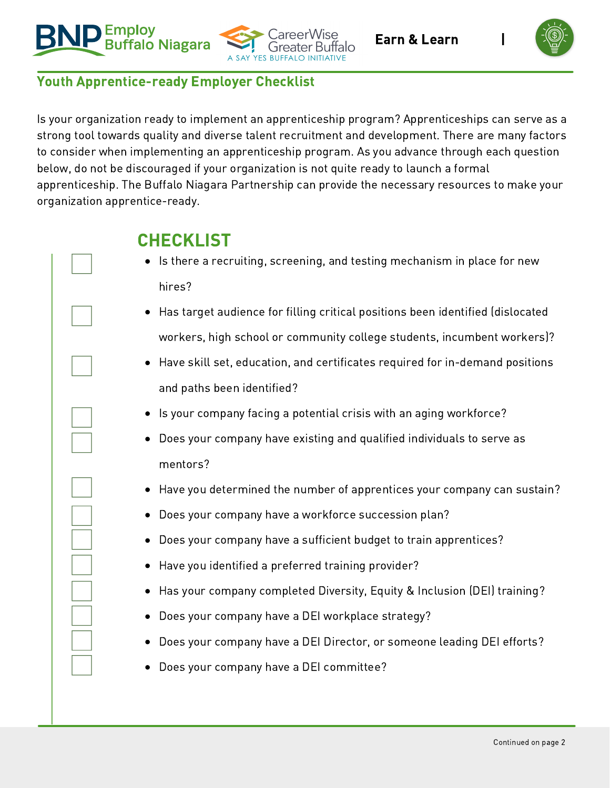





## Youth Apprentice-ready Employer Checklist

Is your organization ready to implement an apprenticeship program? Apprenticeships can serve as a strong tool towards quality and diverse talent recruitment and development. There are many factors to consider when implementing an apprenticeship program. As you advance through each question below, do not be discouraged if your organization is not quite ready to launch a formal apprenticeship. The Buffalo Niagara Partnership can provide the necessary resources to make your organization apprentice-ready.

## CHECKLIST

- Is there a recruiting, screening, and testing mechanism in place for new hires?
- Has target audience for filling critical positions been identified (dislocated workers, high school or community college students, incumbent workers)?
- Have skill set, education, and certificates required for in-demand positions and paths been identified?
- Is your company facing a potential crisis with an aging workforce?
- Does your company have existing and qualified individuals to serve as mentors?
- Have you determined the number of apprentices your company can sustain?
- Does your company have a workforce succession plan?
- Does your company have a sufficient budget to train apprentices?
- Have you identified a preferred training provider?
- Has your company completed Diversity, Equity & Inclusion (DEI) training?
- Does your company have a DEI workplace strategy?
- Does your company have a DEI Director, or someone leading DEI efforts?
- Does your company have a DEI committee?